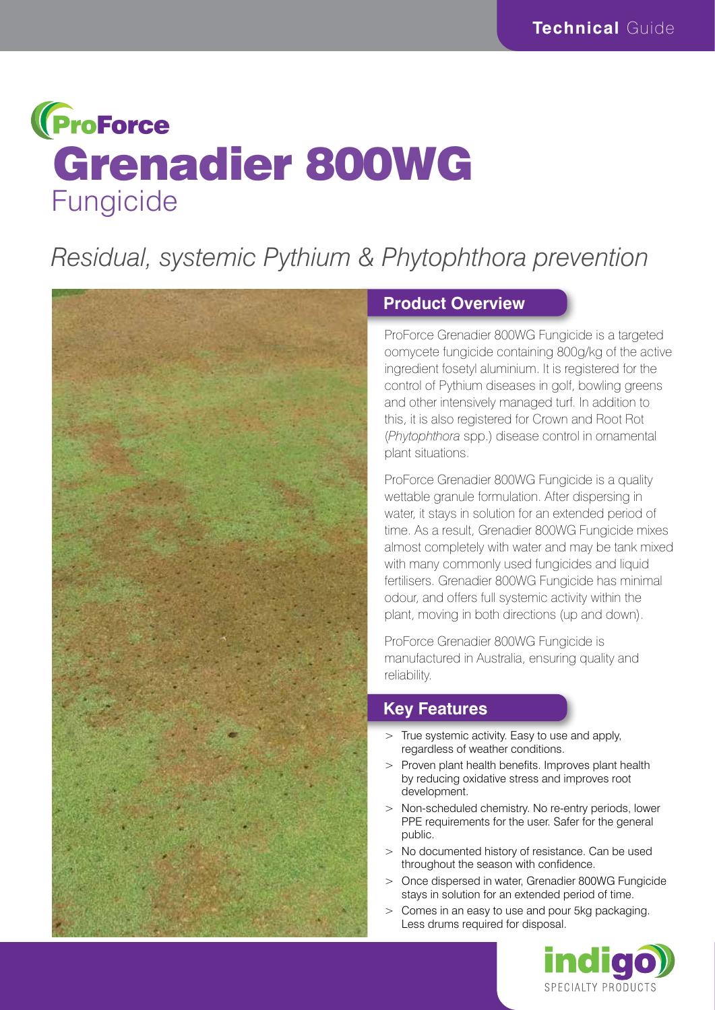# **(ProForce** Grenadier 800WG Fungicide

# *Residual, systemic Pythium & Phytophthora prevention*



## **Product Overview**

ProForce Grenadier 800WG Fungicide is a targeted oomycete fungicide containing 800g/kg of the active ingredient fosetyl aluminium. It is registered for the control of Pythium diseases in golf, bowling greens and other intensively managed turf. In addition to this, it is also registered for Crown and Root Rot (*Phytophthora* spp.) disease control in ornamental plant situations.

ProForce Grenadier 800WG Fungicide is a quality wettable granule formulation. After dispersing in water, it stays in solution for an extended period of time. As a result, Grenadier 800WG Fungicide mixes almost completely with water and may be tank mixed with many commonly used fungicides and liquid fertilisers. Grenadier 800WG Fungicide has minimal odour, and offers full systemic activity within the plant, moving in both directions (up and down).

ProForce Grenadier 800WG Fungicide is manufactured in Australia, ensuring quality and reliability.

## **Key Features**

- $>$  True systemic activity. Easy to use and apply, regardless of weather conditions.
- > Proven plant health benefits. Improves plant health by reducing oxidative stress and improves root development.
- > Non-scheduled chemistry. No re-entry periods, lower PPE requirements for the user. Safer for the general public.
- > No documented history of resistance. Can be used throughout the season with confidence.
- > Once dispersed in water, Grenadier 800WG Fungicide stays in solution for an extended period of time.
- > Comes in an easy to use and pour 5kg packaging. Less drums required for disposal.